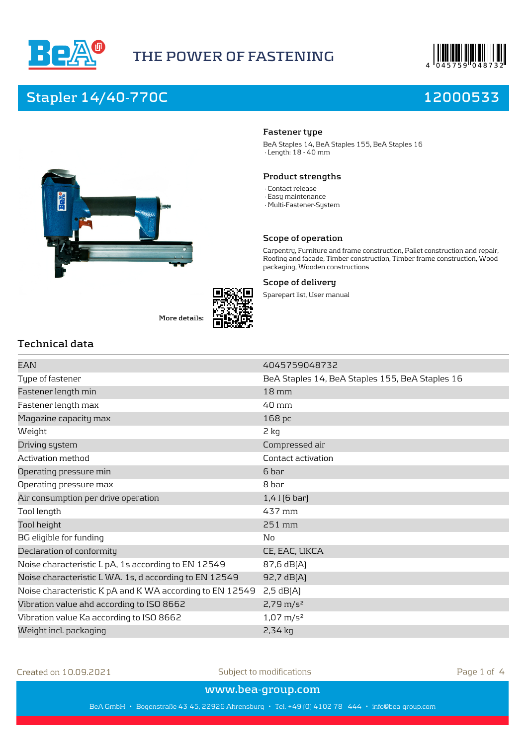





**More details:**

**Fastener type** BeA Staples 14, BeA Staples 155, BeA Staples 16

· Length: 18 - 40 mm

#### **Product strengths**

- · Contact release
- · Easy maintenance
- · Multi-Fastener-System

#### **Scope of operation**

Carpentry, Furniture and frame construction, Pallet construction and repair, Roofing and facade, Timber construction, Timber frame construction, Wood packaging, Wooden constructions

#### **Scope of delivery**

Sparepart list, User manual

## **Technical data**

| EAN                                                      | 4045759048732                                   |
|----------------------------------------------------------|-------------------------------------------------|
| Type of fastener                                         | BeA Staples 14, BeA Staples 155, BeA Staples 16 |
| Fastener length min                                      | $18 \,\mathrm{mm}$                              |
| Fastener length max                                      | $40 \,\mathrm{mm}$                              |
| Magazine capacity max                                    | 168 pc                                          |
| Weight                                                   | 2 kg                                            |
| Driving system                                           | Compressed air                                  |
| Activation method                                        | Contact activation                              |
| Operating pressure min                                   | 6 bar                                           |
| Operating pressure max                                   | 8 bar                                           |
| Air consumption per drive operation                      | $1,4$   $[6$ bar]                               |
| Tool length                                              | 437 mm                                          |
| Tool height                                              | 251 mm                                          |
| BG eligible for funding                                  | No                                              |
| Declaration of conformity                                | CE, EAC, UKCA                                   |
| Noise characteristic L pA, 1s according to EN 12549      | 87,6 dB(A)                                      |
| Noise characteristic L WA. 1s, d according to EN 12549   | 92,7 dB(A)                                      |
| Noise characteristic K pA and K WA according to EN 12549 | $2,5$ dB $[A]$                                  |
| Vibration value ahd according to ISO 8662                | $2,79 \text{ m/s}^2$                            |
| Vibration value Ka according to ISO 8662                 | $1,07 \text{ m/s}^2$                            |
| Weight incl. packaging                                   | $2,34$ kg                                       |
|                                                          |                                                 |

Created on 10.09.2021 Subject to modifications Page 1 of 4

**www.bea-group.com**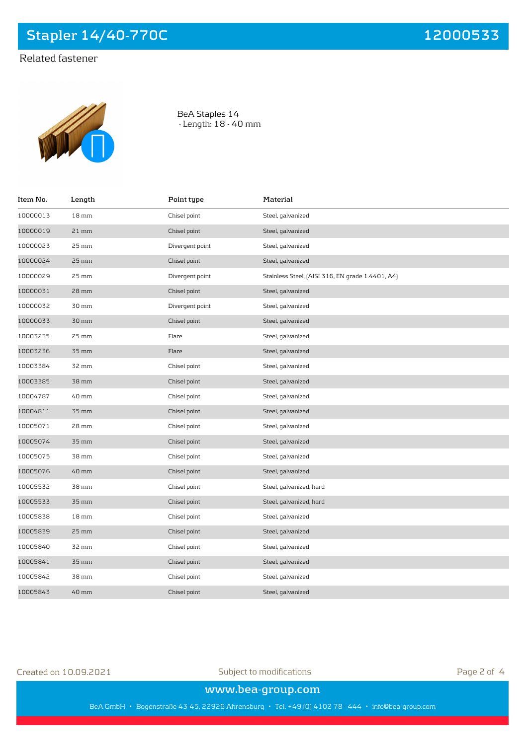# Related fastener



BeA Staples 14 · Length: 18 - 40 mm

| Item No. | Length             | Point type      | Material                                         |
|----------|--------------------|-----------------|--------------------------------------------------|
| 10000013 | $18 \,\mathrm{mm}$ | Chisel point    | Steel, galvanized                                |
| 10000019 | $21$ mm            | Chisel point    | Steel, galvanized                                |
| 10000023 | 25 mm              | Divergent point | Steel, galvanized                                |
| 10000024 | 25 mm              | Chisel point    | Steel, galvanized                                |
| 10000029 | 25 mm              | Divergent point | Stainless Steel, [AISI 316, EN grade 1.4401, A4] |
| 10000031 | 28 mm              | Chisel point    | Steel, galvanized                                |
| 10000032 | 30 mm              | Divergent point | Steel, galvanized                                |
| 10000033 | 30 mm              | Chisel point    | Steel, galvanized                                |
| 10003235 | $25 \,\mathrm{mm}$ | Flare           | Steel, galvanized                                |
| 10003236 | $35 \,\mathrm{mm}$ | Flare           | Steel, galvanized                                |
| 10003384 | 32 mm              | Chisel point    | Steel, galvanized                                |
| 10003385 | 38 mm              | Chisel point    | Steel, galvanized                                |
| 10004787 | 40 mm              | Chisel point    | Steel, galvanized                                |
| 10004811 | $35 \,\mathrm{mm}$ | Chisel point    | Steel, galvanized                                |
| 10005071 | 28 mm              | Chisel point    | Steel, galvanized                                |
| 10005074 | 35 mm              | Chisel point    | Steel, galvanized                                |
| 10005075 | 38 mm              | Chisel point    | Steel, galvanized                                |
| 10005076 | 40 mm              | Chisel point    | Steel, galvanized                                |
| 10005532 | 38 mm              | Chisel point    | Steel, galvanized, hard                          |
| 10005533 | 35 mm              | Chisel point    | Steel, galvanized, hard                          |
| 10005838 | 18 <sub>mm</sub>   | Chisel point    | Steel, galvanized                                |
| 10005839 | $25 \,\mathrm{mm}$ | Chisel point    | Steel, galvanized                                |
| 10005840 | 32 mm              | Chisel point    | Steel, galvanized                                |
| 10005841 | $35 \,\mathrm{mm}$ | Chisel point    | Steel, galvanized                                |
| 10005842 | 38 mm              | Chisel point    | Steel, galvanized                                |
| 10005843 | 40 mm              | Chisel point    | Steel, galvanized                                |

Created on 10.09.2021 Subject to modifications Page 2 of 4

**www.bea-group.com**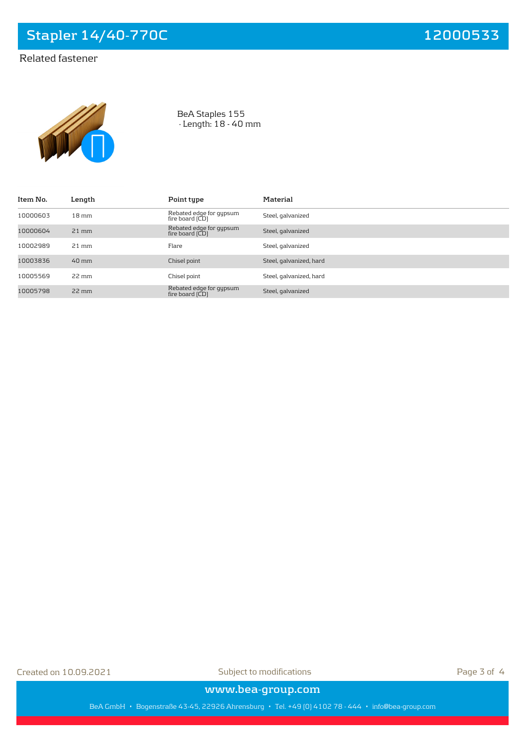# Related fastener



BeA Staples 155 · Length: 18 - 40 mm

| Item No. | Length             | Point type                                              | Material                |
|----------|--------------------|---------------------------------------------------------|-------------------------|
| 10000603 | $18 \,\mathrm{mm}$ | Rebated edge for gypsum<br>fire board (CD)              | Steel, galvanized       |
| 10000604 | $21$ mm            | Rebated edge for gypsum<br>fire board $\overline{(CD)}$ | Steel, galvanized       |
| 10002989 | $21 \text{ mm}$    | Flare                                                   | Steel, galvanized       |
| 10003836 | $40 \,\mathrm{mm}$ | Chisel point                                            | Steel, galvanized, hard |
| 10005569 | $22 \text{ mm}$    | Chisel point                                            | Steel, galvanized, hard |
| 10005798 | $22 \,\mathrm{mm}$ | Rebated edge for gypsum<br>fire board $\overline{(CD)}$ | Steel, galvanized       |

Created on 10.09.2021 Subject to modifications Page 3 of 4

**www.bea-group.com**